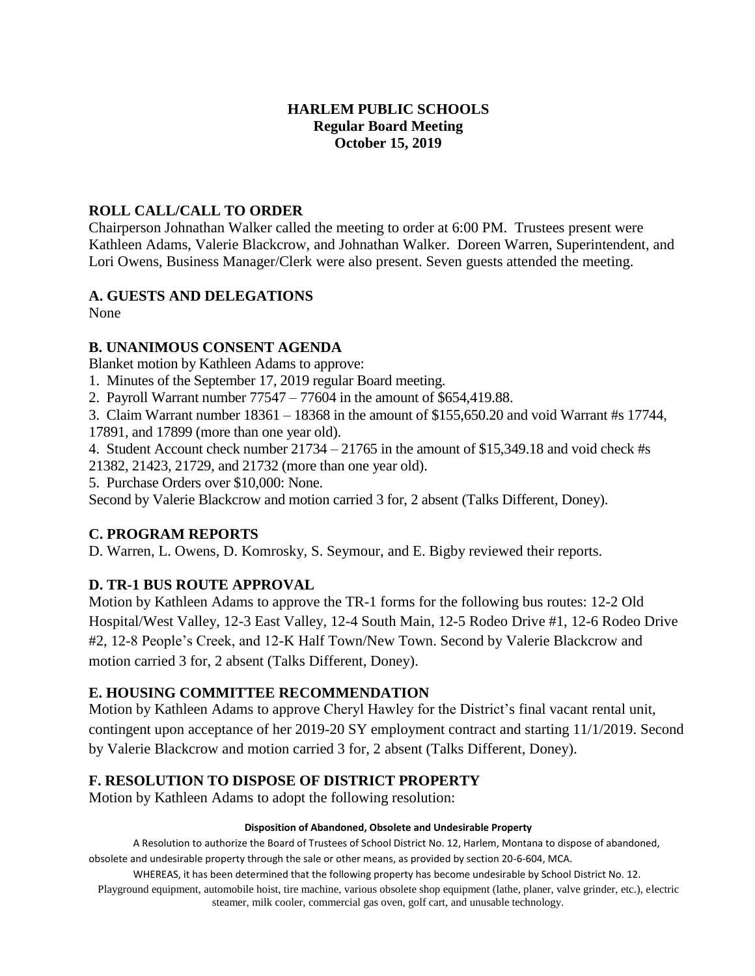### **HARLEM PUBLIC SCHOOLS Regular Board Meeting October 15, 2019**

### **ROLL CALL/CALL TO ORDER**

Chairperson Johnathan Walker called the meeting to order at 6:00 PM. Trustees present were Kathleen Adams, Valerie Blackcrow, and Johnathan Walker. Doreen Warren, Superintendent, and Lori Owens, Business Manager/Clerk were also present. Seven guests attended the meeting.

# **A. GUESTS AND DELEGATIONS**

None

# **B. UNANIMOUS CONSENT AGENDA**

Blanket motion by Kathleen Adams to approve:

1. Minutes of the September 17, 2019 regular Board meeting.

2. Payroll Warrant number 77547 – 77604 in the amount of \$654,419.88.

3. Claim Warrant number 18361 – 18368 in the amount of \$155,650.20 and void Warrant #s 17744,

17891, and 17899 (more than one year old).

4. Student Account check number 21734 – 21765 in the amount of \$15,349.18 and void check #s

21382, 21423, 21729, and 21732 (more than one year old).

5. Purchase Orders over \$10,000: None.

Second by Valerie Blackcrow and motion carried 3 for, 2 absent (Talks Different, Doney).

# **C. PROGRAM REPORTS**

D. Warren, L. Owens, D. Komrosky, S. Seymour, and E. Bigby reviewed their reports.

# **D. TR-1 BUS ROUTE APPROVAL**

Motion by Kathleen Adams to approve the TR-1 forms for the following bus routes: 12-2 Old Hospital/West Valley, 12-3 East Valley, 12-4 South Main, 12-5 Rodeo Drive #1, 12-6 Rodeo Drive #2, 12-8 People's Creek, and 12-K Half Town/New Town. Second by Valerie Blackcrow and motion carried 3 for, 2 absent (Talks Different, Doney).

# **E. HOUSING COMMITTEE RECOMMENDATION**

Motion by Kathleen Adams to approve Cheryl Hawley for the District's final vacant rental unit, contingent upon acceptance of her 2019-20 SY employment contract and starting 11/1/2019. Second by Valerie Blackcrow and motion carried 3 for, 2 absent (Talks Different, Doney).

# **F. RESOLUTION TO DISPOSE OF DISTRICT PROPERTY**

Motion by Kathleen Adams to adopt the following resolution:

#### **Disposition of Abandoned, Obsolete and Undesirable Property**

A Resolution to authorize the Board of Trustees of School District No. 12, Harlem, Montana to dispose of abandoned, obsolete and undesirable property through the sale or other means, as provided by section 20-6-604, MCA.

WHEREAS, it has been determined that the following property has become undesirable by School District No. 12.

Playground equipment, automobile hoist, tire machine, various obsolete shop equipment (lathe, planer, valve grinder, etc.), electric steamer, milk cooler, commercial gas oven, golf cart, and unusable technology.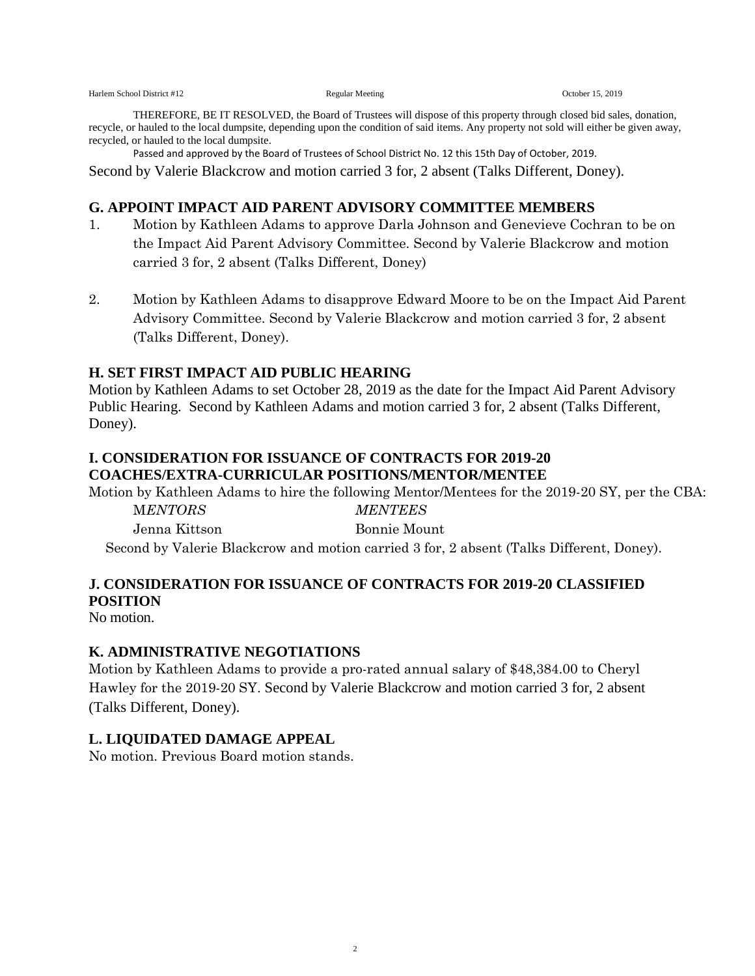THEREFORE, BE IT RESOLVED, the Board of Trustees will dispose of this property through closed bid sales, donation, recycle, or hauled to the local dumpsite, depending upon the condition of said items. Any property not sold will either be given away, recycled, or hauled to the local dumpsite.

Passed and approved by the Board of Trustees of School District No. 12 this 15th Day of October, 2019.

Second by Valerie Blackcrow and motion carried 3 for, 2 absent (Talks Different, Doney).

### **G. APPOINT IMPACT AID PARENT ADVISORY COMMITTEE MEMBERS**

- 1. Motion by Kathleen Adams to approve Darla Johnson and Genevieve Cochran to be on the Impact Aid Parent Advisory Committee. Second by Valerie Blackcrow and motion carried 3 for, 2 absent (Talks Different, Doney)
- 2. Motion by Kathleen Adams to disapprove Edward Moore to be on the Impact Aid Parent Advisory Committee. Second by Valerie Blackcrow and motion carried 3 for, 2 absent (Talks Different, Doney).

### **H. SET FIRST IMPACT AID PUBLIC HEARING**

Motion by Kathleen Adams to set October 28, 2019 as the date for the Impact Aid Parent Advisory Public Hearing. Second by Kathleen Adams and motion carried 3 for, 2 absent (Talks Different, Doney).

### **I. CONSIDERATION FOR ISSUANCE OF CONTRACTS FOR 2019-20 COACHES/EXTRA-CURRICULAR POSITIONS/MENTOR/MENTEE**

Motion by Kathleen Adams to hire the following Mentor/Mentees for the 2019-20 SY, per the CBA:

M*ENTORS MENTEES* Jenna Kittson Bonnie Mount

Second by Valerie Blackcrow and motion carried 3 for, 2 absent (Talks Different, Doney).

# **J. CONSIDERATION FOR ISSUANCE OF CONTRACTS FOR 2019-20 CLASSIFIED POSITION**

No motion.

### **K. ADMINISTRATIVE NEGOTIATIONS**

Motion by Kathleen Adams to provide a pro-rated annual salary of \$48,384.00 to Cheryl Hawley for the 2019-20 SY. Second by Valerie Blackcrow and motion carried 3 for, 2 absent (Talks Different, Doney).

### **L. LIQUIDATED DAMAGE APPEAL**

No motion. Previous Board motion stands.